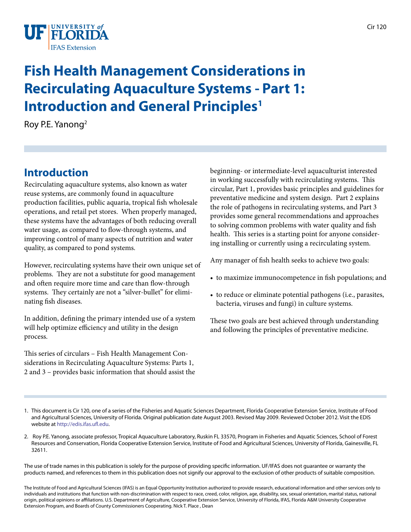

# **Fish Health Management Considerations in Recirculating Aquaculture Systems - Part 1: Introduction and General Principles<sup>1</sup>**

Roy P.E. Yanong2

# **Introduction**

Recirculating aquaculture systems, also known as water reuse systems, are commonly found in aquaculture production facilities, public aquaria, tropical fish wholesale operations, and retail pet stores. When properly managed, these systems have the advantages of both reducing overall water usage, as compared to flow-through systems, and improving control of many aspects of nutrition and water quality, as compared to pond systems.

However, recirculating systems have their own unique set of problems. They are not a substitute for good management and often require more time and care than flow-through systems. They certainly are not a "silver-bullet" for eliminating fish diseases.

In addition, defining the primary intended use of a system will help optimize efficiency and utility in the design process.

This series of circulars – Fish Health Management Considerations in Recirculating Aquaculture Systems: Parts 1, 2 and 3 – provides basic information that should assist the beginning- or intermediate-level aquaculturist interested in working successfully with recirculating systems. This circular, Part 1, provides basic principles and guidelines for preventative medicine and system design. Part 2 explains the role of pathogens in recirculating systems, and Part 3 provides some general recommendations and approaches to solving common problems with water quality and fish health. This series is a starting point for anyone considering installing or currently using a recirculating system.

Any manager of fish health seeks to achieve two goals:

- to maximize immunocompetence in fish populations; and
- to reduce or eliminate potential pathogens (i.e., parasites, bacteria, viruses and fungi) in culture systems.

These two goals are best achieved through understanding and following the principles of preventative medicine.

- 1. This document is Cir 120, one of a series of the Fisheries and Aquatic Sciences Department, Florida Cooperative Extension Service, Institute of Food and Agricultural Sciences, University of Florida. Original publication date August 2003. Revised May 2009. Reviewed October 2012. Visit the EDIS website at [http://edis.ifas.ufl.edu.](http://edis.ifas.ufl.edu)
- 2. Roy P.E. Yanong, associate professor, Tropical Aquaculture Laboratory, Ruskin FL 33570, Program in Fisheries and Aquatic Sciences, School of Forest Resources and Conservation, Florida Cooperative Extension Service, Institute of Food and Agricultural Sciences, University of Florida, Gainesville, FL 32611.

The use of trade names in this publication is solely for the purpose of providing specific information. UF/IFAS does not guarantee or warranty the products named, and references to them in this publication does not signify our approval to the exclusion of other products of suitable composition.

The Institute of Food and Agricultural Sciences (IFAS) is an Equal Opportunity Institution authorized to provide research, educational information and other services only to individuals and institutions that function with non-discrimination with respect to race, creed, color, religion, age, disability, sex, sexual orientation, marital status, national origin, political opinions or affiliations. U.S. Department of Agriculture, Cooperative Extension Service, University of Florida, IFAS, Florida A&M University Cooperative Extension Program, and Boards of County Commissioners Cooperating. Nick T. Place , Dean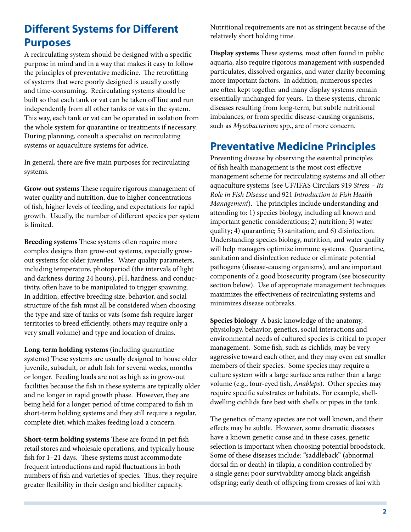# **Different Systems for Different Purposes**

A recirculating system should be designed with a specific purpose in mind and in a way that makes it easy to follow the principles of preventative medicine. The retrofitting of systems that were poorly designed is usually costly and time-consuming. Recirculating systems should be built so that each tank or vat can be taken off line and run independently from all other tanks or vats in the system. This way, each tank or vat can be operated in isolation from the whole system for quarantine or treatments if necessary. During planning, consult a specialist on recirculating systems or aquaculture systems for advice.

In general, there are five main purposes for recirculating systems.

**Grow-out systems** These require rigorous management of water quality and nutrition, due to higher concentrations of fish, higher levels of feeding, and expectations for rapid growth. Usually, the number of different species per system is limited.

**Breeding systems** These systems often require more complex designs than grow-out systems, especially growout systems for older juveniles. Water quality parameters, including temperature, photoperiod (the intervals of light and darkness during 24 hours), pH, hardness, and conductivity, often have to be manipulated to trigger spawning. In addition, effective breeding size, behavior, and social structure of the fish must all be considered when choosing the type and size of tanks or vats (some fish require larger territories to breed efficiently, others may require only a very small volume) and type and location of drains.

**Long-term holding systems** (including quarantine systems) These systems are usually designed to house older juvenile, subadult, or adult fish for several weeks, months or longer. Feeding loads are not as high as in grow-out facilities because the fish in these systems are typically older and no longer in rapid growth phase. However, they are being held for a longer period of time compared to fish in short-term holding systems and they still require a regular, complete diet, which makes feeding load a concern.

**Short-term holding systems** These are found in pet fish retail stores and wholesale operations, and typically house fish for 1–21 days. These systems must accommodate frequent introductions and rapid fluctuations in both numbers of fish and varieties of species. Thus, they require greater flexibility in their design and biofilter capacity.

Nutritional requirements are not as stringent because of the relatively short holding time.

**Display systems** These systems, most often found in public aquaria, also require rigorous management with suspended particulates, dissolved organics, and water clarity becoming more important factors. In addition, numerous species are often kept together and many display systems remain essentially unchanged for years. In these systems, chronic diseases resulting from long-term, but subtle nutritional imbalances, or from specific disease-causing organisms, such as *Mycobacterium* spp., are of more concern.

### **Preventative Medicine Principles**

Preventing disease by observing the essential principles of fish health management is the most cost effective management scheme for recirculating systems and all other aquaculture systems (see UF/IFAS Circulars 919 *Stress – Its Role in Fish Disease* and 921 *Introduction to Fish Health Management*). The principles include understanding and attending to: 1) species biology, including all known and important genetic considerations; 2) nutrition; 3) water quality; 4) quarantine; 5) sanitation; and 6) disinfection. Understanding species biology, nutrition, and water quality will help managers optimize immune systems. Quarantine, sanitation and disinfection reduce or eliminate potential pathogens (disease-causing organisms), and are important components of a good biosecurity program (see biosecurity section below). Use of appropriate management techniques maximizes the effectiveness of recirculating systems and minimizes disease outbreaks.

**Species biology** A basic knowledge of the anatomy, physiology, behavior, genetics, social interactions and environmental needs of cultured species is critical to proper management. Some fish, such as cichlids, may be very aggressive toward each other, and they may even eat smaller members of their species. Some species may require a culture system with a large surface area rather than a large volume (e.g., four-eyed fish, *Anableps*). Other species may require specific substrates or habitats. For example, shelldwelling cichlids fare best with shells or pipes in the tank.

The genetics of many species are not well known, and their effects may be subtle. However, some dramatic diseases have a known genetic cause and in these cases, genetic selection is important when choosing potential broodstock. Some of these diseases include: "saddleback" (abnormal dorsal fin or death) in tilapia, a condition controlled by a single gene; poor survivability among black angelfish offspring; early death of offspring from crosses of koi with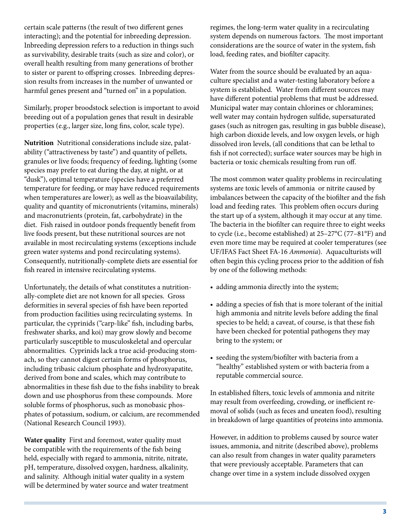certain scale patterns (the result of two different genes interacting); and the potential for inbreeding depression. Inbreeding depression refers to a reduction in things such as survivability, desirable traits (such as size and color), or overall health resulting from many generations of brother to sister or parent to offspring crosses. Inbreeding depression results from increases in the number of unwanted or harmful genes present and "turned on" in a population.

Similarly, proper broodstock selection is important to avoid breeding out of a population genes that result in desirable properties (e.g., larger size, long fins, color, scale type).

**Nutrition** Nutritional considerations include size, palatability ("attractiveness by taste") and quantity of pellets, granules or live foods; frequency of feeding, lighting (some species may prefer to eat during the day, at night, or at "dusk"), optimal temperature (species have a preferred temperature for feeding, or may have reduced requirements when temperatures are lower); as well as the bioavailability, quality and quantity of micronutrients (vitamins, minerals) and macronutrients (protein, fat, carbohydrate) in the diet. Fish raised in outdoor ponds frequently benefit from live foods present, but these nutritional sources are not available in most recirculating systems (exceptions include green water systems and pond recirculating systems). Consequently, nutritionally-complete diets are essential for fish reared in intensive recirculating systems.

Unfortunately, the details of what constitutes a nutritionally-complete diet are not known for all species. Gross deformities in several species of fish have been reported from production facilities using recirculating systems. In particular, the cyprinids ("carp-like" fish, including barbs, freshwater sharks, and koi) may grow slowly and become particularly susceptible to musculoskeletal and opercular abnormalities. Cyprinids lack a true acid-producing stomach, so they cannot digest certain forms of phosphorus, including tribasic calcium phosphate and hydroxyapatite, derived from bone and scales, which may contribute to abnormalities in these fish due to the fishs inability to break down and use phosphorus from these compounds. More soluble forms of phosphorus, such as monobasic phosphates of potassium, sodium, or calcium, are recommended (National Research Council 1993).

**Water quality** First and foremost, water quality must be compatible with the requirements of the fish being held, especially with regard to ammonia, nitrite, nitrate, pH, temperature, dissolved oxygen, hardness, alkalinity, and salinity. Although initial water quality in a system will be determined by water source and water treatment regimes, the long-term water quality in a recirculating system depends on numerous factors. The most important considerations are the source of water in the system, fish load, feeding rates, and biofilter capacity.

Water from the source should be evaluated by an aquaculture specialist and a water-testing laboratory before a system is established. Water from different sources may have different potential problems that must be addressed. Municipal water may contain chlorines or chloramines; well water may contain hydrogen sulfide, supersaturated gases (such as nitrogen gas, resulting in gas bubble disease), high carbon dioxide levels, and low oxygen levels, or high dissolved iron levels, (all conditions that can be lethal to fish if not corrected); surface water sources may be high in bacteria or toxic chemicals resulting from run off.

The most common water quality problems in recirculating systems are toxic levels of ammonia or nitrite caused by imbalances between the capacity of the biofilter and the fish load and feeding rates. This problem often occurs during the start up of a system, although it may occur at any time. The bacteria in the biofilter can require three to eight weeks to cycle (i.e., become established) at 25–27°C (77–81°F) and even more time may be required at cooler temperatures (see UF/IFAS Fact Sheet FA-16 *Ammonia*). Aquaculturists will often begin this cycling process prior to the addition of fish by one of the following methods:

- adding ammonia directly into the system;
- adding a species of fish that is more tolerant of the initial high ammonia and nitrite levels before adding the final species to be held; a caveat, of course, is that these fish have been checked for potential pathogens they may bring to the system; or
- seeding the system/biofilter with bacteria from a "healthy" established system or with bacteria from a reputable commercial source.

In established filters, toxic levels of ammonia and nitrite may result from overfeeding, crowding, or inefficient removal of solids (such as feces and uneaten food), resulting in breakdown of large quantities of proteins into ammonia.

However, in addition to problems caused by source water issues, ammonia, and nitrite (described above), problems can also result from changes in water quality parameters that were previously acceptable. Parameters that can change over time in a system include dissolved oxygen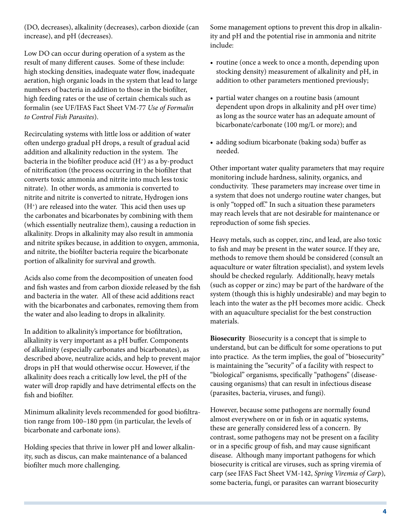(DO, decreases), alkalinity (decreases), carbon dioxide (can increase), and pH (decreases).

Low DO can occur during operation of a system as the result of many different causes. Some of these include: high stocking densities, inadequate water flow, inadequate aeration, high organic loads in the system that lead to large numbers of bacteria in addition to those in the biofilter, high feeding rates or the use of certain chemicals such as formalin (see UF/IFAS Fact Sheet VM-77 *Use of Formalin to Control Fish Parasites*).

Recirculating systems with little loss or addition of water often undergo gradual pH drops, a result of gradual acid addition and alkalinity reduction in the system. The bacteria in the biofilter produce acid  $(H<sup>+</sup>)$  as a by-product of nitrification (the process occurring in the biofilter that converts toxic ammonia and nitrite into much less toxic nitrate). In other words, as ammonia is converted to nitrite and nitrite is converted to nitrate, Hydrogen ions (H+) are released into the water. This acid then uses up the carbonates and bicarbonates by combining with them (which essentially neutralize them), causing a reduction in alkalinity. Drops in alkalinity may also result in ammonia and nitrite spikes because, in addition to oxygen, ammonia, and nitrite, the biofilter bacteria require the bicarbonate portion of alkalinity for survival and growth.

Acids also come from the decomposition of uneaten food and fish wastes and from carbon dioxide released by the fish and bacteria in the water. All of these acid additions react with the bicarbonates and carbonates, removing them from the water and also leading to drops in alkalinity.

In addition to alkalinity's importance for biofiltration, alkalinity is very important as a pH buffer. Components of alkalinity (especially carbonates and bicarbonates), as described above, neutralize acids, and help to prevent major drops in pH that would otherwise occur. However, if the alkalinity does reach a critically low level, the pH of the water will drop rapidly and have detrimental effects on the fish and biofilter.

Minimum alkalinity levels recommended for good biofiltration range from 100–180 ppm (in particular, the levels of bicarbonate and carbonate ions).

Holding species that thrive in lower pH and lower alkalinity, such as discus, can make maintenance of a balanced biofilter much more challenging.

Some management options to prevent this drop in alkalinity and pH and the potential rise in ammonia and nitrite include:

- routine (once a week to once a month, depending upon stocking density) measurement of alkalinity and pH, in addition to other parameters mentioned previously;
- partial water changes on a routine basis (amount dependent upon drops in alkalinity and pH over time) as long as the source water has an adequate amount of bicarbonate/carbonate (100 mg/L or more); and
- • adding sodium bicarbonate (baking soda) buffer as needed.

Other important water quality parameters that may require monitoring include hardness, salinity, organics, and conductivity. These parameters may increase over time in a system that does not undergo routine water changes, but is only "topped off." In such a situation these parameters may reach levels that are not desirable for maintenance or reproduction of some fish species.

Heavy metals, such as copper, zinc, and lead, are also toxic to fish and may be present in the water source. If they are, methods to remove them should be considered (consult an aquaculture or water filtration specialist), and system levels should be checked regularly. Additionally, heavy metals (such as copper or zinc) may be part of the hardware of the system (though this is highly undesirable) and may begin to leach into the water as the pH becomes more acidic. Check with an aquaculture specialist for the best construction materials.

**Biosecurity** Biosecurity is a concept that is simple to understand, but can be difficult for some operations to put into practice. As the term implies, the goal of "biosecurity" is maintaining the "security" of a facility with respect to "biological" organisms, specifically "pathogens" (diseasecausing organisms) that can result in infectious disease (parasites, bacteria, viruses, and fungi).

However, because some pathogens are normally found almost everywhere on or in fish or in aquatic systems, these are generally considered less of a concern. By contrast, some pathogens may not be present on a facility or in a specific group of fish, and may cause significant disease. Although many important pathogens for which biosecurity is critical are viruses, such as spring viremia of carp (see IFAS Fact Sheet VM-142, *Spring Viremia of Carp*), some bacteria, fungi, or parasites can warrant biosecurity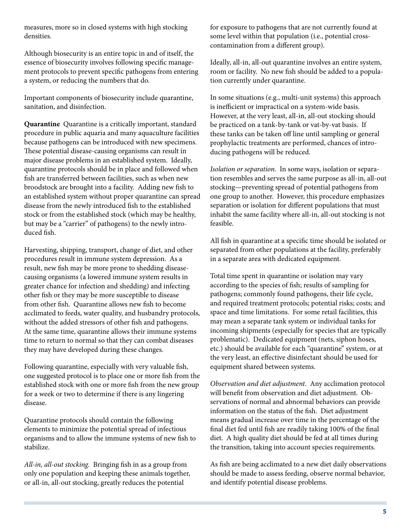measures, more so in closed systems with high stocking densities.

Although biosecurity is an entire topic in and of itself, the essence of biosecurity involves following specific management protocols to prevent specific pathogens from entering a system, or reducing the numbers that do.

Important components of biosecurity include quarantine, sanitation, and disinfection.

**Quarantine** Quarantine is a critically important, standard procedure in public aquaria and many aquaculture facilities because pathogens can be introduced with new specimens. These potential disease-causing organisms can result in major disease problems in an established system. Ideally, quarantine protocols should be in place and followed when fish are transferred between facilities, such as when new broodstock are brought into a facility. Adding new fish to an established system without proper quarantine can spread disease from the newly introduced fish to the established stock or from the established stock (which may be healthy, but may be a "carrier" of pathogens) to the newly introduced fish.

Harvesting, shipping, transport, change of diet, and other procedures result in immune system depression. As a result, new fish may be more prone to shedding diseasecausing organisms (a lowered immune system results in greater chance for infection and shedding) and infecting other fish or they may be more susceptible to disease from other fish. Quarantine allows new fish to become acclimated to feeds, water quality, and husbandry protocols, without the added stressors of other fish and pathogens. At the same time, quarantine allows their immune systems time to return to normal so that they can combat diseases they may have developed during these changes.

Following quarantine, especially with very valuable fish, one suggested protocol is to place one or more fish from the established stock with one or more fish from the new group for a week or two to determine if there is any lingering disease.

Quarantine protocols should contain the following elements to minimize the potential spread of infectious organisms and to allow the immune systems of new fish to stabilize.

*All-in, all-out stocking.* Bringing fish in as a group from only one population and keeping these animals together, or all-in, all-out stocking, greatly reduces the potential

for exposure to pathogens that are not currently found at some level within that population (i.e., potential crosscontamination from a different group).

Ideally, all-in, all-out quarantine involves an entire system, room or facility. No new fish should be added to a population currently under quarantine.

In some situations (e.g., multi-unit systems) this approach is inefficient or impractical on a system-wide basis. However, at the very least, all-in, all-out stocking should be practiced on a tank-by-tank or vat-by-vat basis. If these tanks can be taken off line until sampling or general prophylactic treatments are performed, chances of introducing pathogens will be reduced.

*Isolation or separation*. In some ways, isolation or separation resembles and serves the same purpose as all-in, all-out stocking—preventing spread of potential pathogens from one group to another. However, this procedure emphasizes separation or isolation for different populations that must inhabit the same facility where all-in, all-out stocking is not feasible.

All fish in quarantine at a specific time should be isolated or separated from other populations at the facility, preferably in a separate area with dedicated equipment.

Total time spent in quarantine or isolation may vary according to the species of fish; results of sampling for pathogens; commonly found pathogens, their life cycle, and required treatment protocols; potential risks; costs; and space and time limitations. For some retail facilities, this may mean a separate tank system or individual tanks for incoming shipments (especially for species that are typically problematic). Dedicated equipment (nets, siphon hoses, etc.) should be available for each "quarantine" system, or at the very least, an effective disinfectant should be used for equipment shared between systems.

*Observation and diet adjustment*. Any acclimation protocol will benefit from observation and diet adjustment. Observations of normal and abnormal behaviors can provide information on the status of the fish. Diet adjustment means gradual increase over time in the percentage of the final diet fed until fish are readily taking 100% of the final diet. A high quality diet should be fed at all times during the transition, taking into account species requirements.

As fish are being acclimated to a new diet daily observations should be made to assess feeding, observe normal behavior, and identify potential disease problems.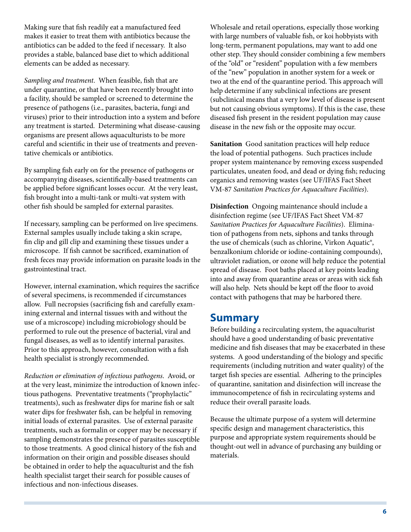Making sure that fish readily eat a manufactured feed makes it easier to treat them with antibiotics because the antibiotics can be added to the feed if necessary. It also provides a stable, balanced base diet to which additional elements can be added as necessary.

*Sampling and treatment*. When feasible, fish that are under quarantine, or that have been recently brought into a facility, should be sampled or screened to determine the presence of pathogens (i.e., parasites, bacteria, fungi and viruses) prior to their introduction into a system and before any treatment is started. Determining what disease-causing organisms are present allows aquaculturists to be more careful and scientific in their use of treatments and preventative chemicals or antibiotics.

By sampling fish early on for the presence of pathogens or accompanying diseases, scientifically-based treatments can be applied before significant losses occur. At the very least, fish brought into a multi-tank or multi-vat system with other fish should be sampled for external parasites.

If necessary, sampling can be performed on live specimens. External samples usually include taking a skin scrape, fin clip and gill clip and examining these tissues under a microscope. If fish cannot be sacrificed, examination of fresh feces may provide information on parasite loads in the gastrointestinal tract.

However, internal examination, which requires the sacrifice of several specimens, is recommended if circumstances allow. Full necropsies (sacrificing fish and carefully examining external and internal tissues with and without the use of a microscope) including microbiology should be performed to rule out the presence of bacterial, viral and fungal diseases, as well as to identify internal parasites. Prior to this approach, however, consultation with a fish health specialist is strongly recommended.

*Reduction or elimination of infectious pathogens*. Avoid, or at the very least, minimize the introduction of known infectious pathogens. Preventative treatments ("prophylactic" treatments), such as freshwater dips for marine fish or salt water dips for freshwater fish, can be helpful in removing initial loads of external parasites. Use of external parasite treatments, such as formalin or copper may be necessary if sampling demonstrates the presence of parasites susceptible to those treatments. A good clinical history of the fish and information on their origin and possible diseases should be obtained in order to help the aquaculturist and the fish health specialist target their search for possible causes of infectious and non-infectious diseases.

Wholesale and retail operations, especially those working with large numbers of valuable fish, or koi hobbyists with long-term, permanent populations, may want to add one other step. They should consider combining a few members of the "old" or "resident" population with a few members of the "new" population in another system for a week or two at the end of the quarantine period. This approach will help determine if any subclinical infections are present (subclinical means that a very low level of disease is present but not causing obvious symptoms). If this is the case, these diseased fish present in the resident population may cause disease in the new fish or the opposite may occur.

**Sanitation** Good sanitation practices will help reduce the load of potential pathogens. Such practices include proper system maintenance by removing excess suspended particulates, uneaten food, and dead or dying fish; reducing organics and removing wastes (see UF/IFAS Fact Sheet VM-87 *Sanitation Practices for Aquaculture Facilities*).

**Disinfection** Ongoing maintenance should include a disinfection regime (see UF/IFAS Fact Sheet VM-87 *Sanitation Practices for Aquaculture Facilities*). Elimination of pathogens from nets, siphons and tanks through the use of chemicals (such as chlorine, Virkon Aquatic®, benzalkonium chloride or iodine-containing compounds), ultraviolet radiation, or ozone will help reduce the potential spread of disease. Foot baths placed at key points leading into and away from quarantine areas or areas with sick fish will also help. Nets should be kept off the floor to avoid contact with pathogens that may be harbored there.

#### **Summary**

Before building a recirculating system, the aquaculturist should have a good understanding of basic preventative medicine and fish diseases that may be exacerbated in these systems. A good understanding of the biology and specific requirements (including nutrition and water quality) of the target fish species are essential. Adhering to the principles of quarantine, sanitation and disinfection will increase the immunocompetence of fish in recirculating systems and reduce their overall parasite loads.

Because the ultimate purpose of a system will determine specific design and management characteristics, this purpose and appropriate system requirements should be thought-out well in advance of purchasing any building or materials.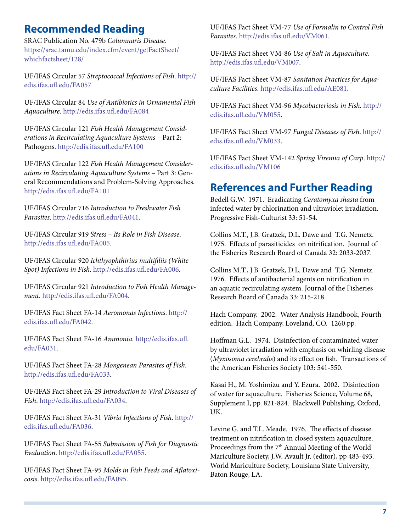#### **Recommended Reading**

SRAC Publication No. 479b *Columnaris Disease*. [https://srac.tamu.edu/index.cfm/event/getFactSheet/](https://srac.tamu.edu/index.cfm/event/getFactSheet/whichfactsheet/128/) [whichfactsheet/128/](https://srac.tamu.edu/index.cfm/event/getFactSheet/whichfactsheet/128/)

UF/IFAS Circular 57 *Streptococcal Infections of Fish*. [http://](http://edis.ifas.ufl.edu/FA057) [edis.ifas.ufl.edu/FA057](http://edis.ifas.ufl.edu/FA057)

UF/IFAS Circular 84 *Use of Antibiotics in Ornamental Fish Aquaculture*.<http://edis.ifas.ufl.edu/FA084>

UF/IFAS Circular 121 *Fish Health Management Considerations in Recirculating Aquaculture Systems –* Part 2: Pathogens.<http://edis.ifas.ufl.edu/FA100>

UF/IFAS Circular 122 *Fish Health Management Considerations in Recirculating Aquaculture Systems –* Part 3: General Recommendations and Problem-Solving Approaches. <http://edis.ifas.ufl.edu/FA101>

UF/IFAS Circular 716 *Introduction to Freshwater Fish Parasites*. [http://edis.ifas.ufl.edu/FA041.](http://edis.ifas.ufl.edu/FA041)

UF/IFAS Circular 919 *Stress – Its Role in Fish Disease*. [http://edis.ifas.ufl.edu/FA005.](http://edis.ifas.ufl.edu/FA005)

UF/IFAS Circular 920 *Ichthyophthirius multifiliis (White Spot) Infections in Fish*. [http://edis.ifas.ufl.edu/FA006.](http://edis.ifas.ufl.edu/FA006)

UF/IFAS Circular 921 *Introduction to Fish Health Management*. [http://edis.ifas.ufl.edu/FA004.](http://edis.ifas.ufl.edu/FA004)

UF/IFAS Fact Sheet FA-14 *Aeromonas Infections*. [http://](http://edis.ifas.ufl.edu/FA042) [edis.ifas.ufl.edu/FA042.](http://edis.ifas.ufl.edu/FA042)

UF/IFAS Fact Sheet FA-16 *Ammonia*. [http://edis.ifas.ufl.](http://edis.ifas.ufl.edu/FA031) [edu/FA031](http://edis.ifas.ufl.edu/FA031).

UF/IFAS Fact Sheet FA-28 *Mongenean Parasites of Fish*. [http://edis.ifas.ufl.edu/FA033.](http://edis.ifas.ufl.edu/FA033)

UF/IFAS Fact Sheet FA-29 *Introduction to Viral Diseases of Fish*. [http://edis.ifas.ufl.edu/FA034.](http://edis.ifas.ufl.edu/FA034)

UF/IFAS Fact Sheet FA-31 *Vibrio Infections of Fish*. [http://](http://edis.ifas.ufl.edu/FA036) [edis.ifas.ufl.edu/FA036.](http://edis.ifas.ufl.edu/FA036)

UF/IFAS Fact Sheet FA-55 *Submission of Fish for Diagnostic Evaluation*. [http://edis.ifas.ufl.edu/FA055.](http://edis.ifas.ufl.edu/FA055)

UF/IFAS Fact Sheet FA-95 *Molds in Fish Feeds and Aflatoxicosis*. <http://edis.ifas.ufl.edu/FA095>.

UF/IFAS Fact Sheet VM-77 *Use of Formalin to Control Fish Parasites*. [http://edis.ifas.ufl.edu/VM061.](http://edis.ifas.ufl.edu/VM061)

UF/IFAS Fact Sheet VM-86 *Use of Salt in Aquaculture*. [http://edis.ifas.ufl.edu/VM007.](http://edis.ifas.ufl.edu/VM007)

UF/IFAS Fact Sheet VM-87 *Sanitation Practices for Aquaculture Facilities*.<http://edis.ifas.ufl.edu/AE081>.

UF/IFAS Fact Sheet VM-96 *Mycobacteriosis in Fish*. [http://](http://edis.ifas.ufl.edu/VM055) [edis.ifas.ufl.edu/VM055](http://edis.ifas.ufl.edu/VM055).

UF/IFAS Fact Sheet VM-97 *Fungal Diseases of Fish*. [http://](http://edis.ifas.ufl.edu/VM033) [edis.ifas.ufl.edu/VM033](http://edis.ifas.ufl.edu/VM033).

UF/IFAS Fact Sheet VM-142 *Spring Viremia of Carp*. [http://](http://edis.ifas.ufl.edu/VM106) [edis.ifas.ufl.edu/VM106](http://edis.ifas.ufl.edu/VM106)

#### **References and Further Reading**

Bedell G.W. 1971. Eradicating *Ceratomyxa shasta* from infected water by chlorination and ultraviolet irradiation. Progressive Fish-Culturist 33: 51-54.

Collins M.T., J.B. Gratzek, D.L. Dawe and T.G. Nemetz. 1975. Effects of parasiticides on nitrification. Journal of the Fisheries Research Board of Canada 32: 2033-2037.

Collins M.T., J.B. Gratzek, D.L. Dawe and T.G. Nemetz. 1976. Effects of antibacterial agents on nitrification in an aquatic recirculating system. Journal of the Fisheries Research Board of Canada 33: 215-218.

Hach Company. 2002. Water Analysis Handbook, Fourth edition. Hach Company, Loveland, CO. 1260 pp.

Hoffman G.L. 1974. Disinfection of contaminated water by ultraviolet irradiation with emphasis on whirling disease (*Myxosoma cerebralis*) and its effect on fish. Transactions of the American Fisheries Society 103: 541-550.

Kasai H., M. Yoshimizu and Y. Ezura. 2002. Disinfection of water for aquaculture. Fisheries Science, Volume 68, Supplement I, pp. 821-824. Blackwell Publishing, Oxford, UK.

Levine G. and T.L. Meade. 1976. The effects of disease treatment on nitrification in closed system aquaculture. Proceedings from the 7<sup>th</sup> Annual Meeting of the World Mariculture Society, J.W. Avault Jr. (editor), pp 483-493. World Mariculture Society, Louisiana State University, Baton Rouge, LA.